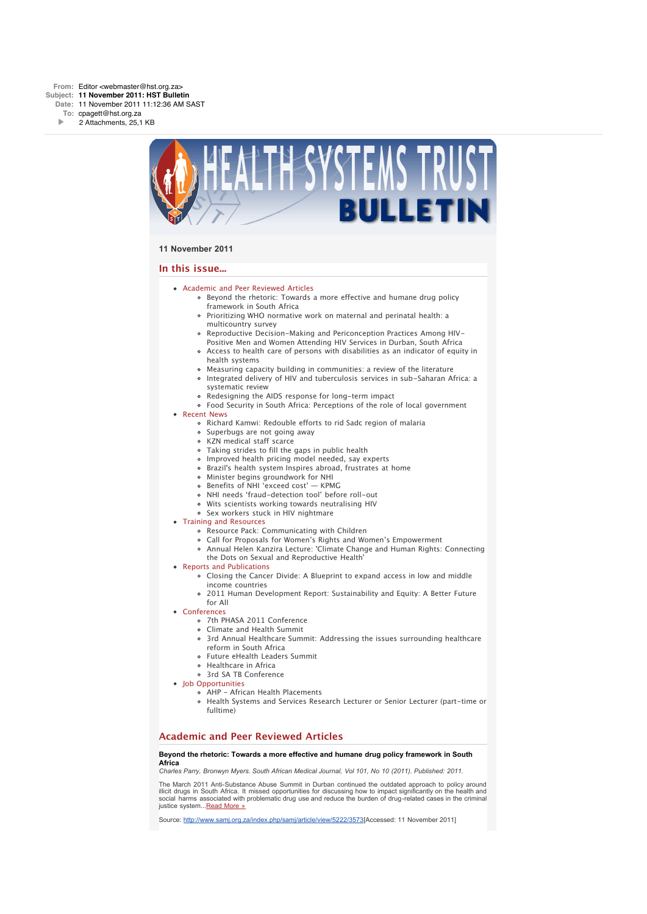

### **11 November 2011**

### **In this issue...**

- [Academic and Peer Reviewed Articles](x-msg://19/#Academic)
	- [Beyond the rhetoric: Towards a more effective and humane drug policy](x-msg://19/#A_0) framework in South Africa
	- [Prioritizing WHO normative work on maternal and perinatal health: a](x-msg://19/#A_1) multicountry survey
	- [Reproductive Decision-Making and Periconception Practices Among HIV-](x-msg://19/#A_3)Positive Men and Women Attending HIV Services in Durban, South Africa
	- [Access to health care of persons with disabilities as an indicator of equity in](x-msg://19/#A_4) health systems
	- [Measuring capacity building in communities: a review of the literature](x-msg://19/#A_5)
	- [Integrated delivery of HIV and tuberculosis services in sub-Saharan Africa: a](x-msg://19/#A_5) systematic review
	- o [Redesigning the AIDS response for long-term impact](x-msg://19/#A_6)
	- [Food Security in South Africa: Perceptions of the role of local government](x-msg://19/#A_7)
- [Recent News](x-msg://19/#recent)
	- [Richard Kamwi: Redouble efforts to rid Sadc region of malaria](x-msg://19/#N_1)
	- o [Superbugs are not going away](x-msg://19/#N_2)
	- [KZN medical staff scarce](x-msg://19/#N_3)
	- [Taking strides to fill the gaps in public health](x-msg://19/#N_4)
	- [Improved health pricing model needed, say experts](x-msg://19/#N_5)
	- [Brazil's health system Inspires abroad, frustrates at home](x-msg://19/#N_6)
	- [Minister begins groundwork for NHI](x-msg://19/#N_7)
	- [Benefits of NHI 'exceed cost' KPMG](x-msg://19/#N_8)
	- [NHI needs 'fraud-detection tool' before roll-out](x-msg://19/#N_9)
	- [Wits scientists working towards neutralising HIV](x-msg://19/#N_10)
	- o [Sex workers stuck in HIV nightmare](x-msg://19/#N_11)
- [Training and Resources](x-msg://19/#train)
	- [Resource Pack: Communicating with Children](x-msg://19/#T_3)
	- [Call for Proposals for Women's Rights and Women's Empowerment](x-msg://19/#T_1)
	- [Annual Helen Kanzira Lecture: 'Climate Change and Human Rights: Connecting](x-msg://19/#T_2)
	- the Dots on Sexual and Reproductive Health'
- [Reports and Publications](x-msg://19/#publications)
	- Closing the Cancer Divide: A Blueprint to expand access in low and middle income countries
	- 2011 Human Development Report: Sustainability and Equity: A Better Future
- for All
- [Conferences](x-msg://19/#conferences)
	- [7th PHASA 2011 Conference](x-msg://19/#C_3)
	- [Climate and Health Summit](x-msg://19/#C_0)
	- [3rd Annual Healthcare Summit: Addressing the issues surrounding healthcare](x-msg://19/#C_2) reform in South Africa
	- [Future eHealth Leaders Summit](x-msg://19/#C_4)
	- [Healthcare in Africa](x-msg://19/#C_1)
	- [3rd SA TB Conference](x-msg://19/#C_5)
- [Job Opportunities](x-msg://19/#jobs)
	- [AHP African Health Placements](x-msg://19/#J_0)
	- Health Systems and Services Research Lecturer or Senior Lecturer (part-time or fulltime)

### **Academic and Peer Reviewed Articles**

### **Beyond the rhetoric: Towards a more effective and humane drug policy framework in South Africa**

*Charles Parry, Bronwyn Myers. South African Medical Journal, Vol 101, No 10 (2011). Published: 2011.*

*The March 2011 Anti-Substance Abuse Summit in Durban continued the outdated approach to policy around illicit drugs in South Africa. It missed opportunities for discussing how to impact significantly on the health and social harms associated with problematic drug use and reduce the burden of drug-related cases in the criminal justice system...[Read More »](http://bulletin.hst.org.za//lt.php?id=K09XAVZSVQ4DSlBRCkUHC1NR)*

*Source: [http://www.samj.org.za/index.php/samj/article/view/5222/3573\[](http://bulletin.hst.org.za//lt.php?id=K09XAVZSVQ4DSlBRCkUHC1NR)Accessed: 11 November 2011]*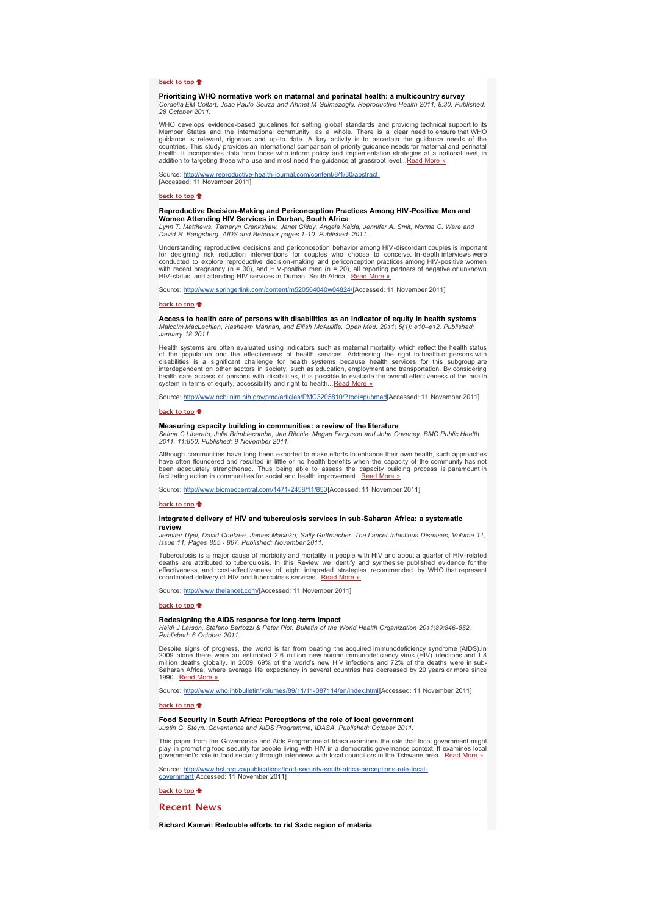### **[back to top](x-msg://19/#top)**<sup>t</sup>

### **Prioritizing WHO normative work on maternal and perinatal health: a multicountry survey** *Cordelia EM Coltart, Joao Paulo Souza and Ahmet M Gulmezoglu. Reproductive Health 2011, 8:30. Published: 28 October 2011.*

WHO develops evidence-based guidelines for setting global standards and providing technical support to its<br>Member States and the international community, as a whole. There is a clear need to ensure that WHO<br>guidance is rel health. It incorporates data from those who inform policy and implementation strategies at a national level, in<br>addition to targeting those who use and most need the guidance at grassroot level...<u>[Read More »](http://bulletin.hst.org.za//lt.php?id=K09XAVZSVQ4CSlBRCkUHC1NR)</u>

*Source: [http://www.reproductive-health-journal.com/content/8/1/30/abstract](http://bulletin.hst.org.za//lt.php?id=K09XAVZSVQ4CSlBRCkUHC1NR)  [Accessed: 11 November 2011]*

### **[back to top](x-msg://19/#top)**

### **Reproductive Decision-Making and Periconception Practices Among HIV-Positive Men and Women Attending HIV Services in Durban, South Africa**

*Lynn T. Matthews, Tamaryn Crankshaw, Janet Giddy, Angela Kaida, Jennifer A. Smit, Norma C. Ware and David R. Bangsberg. AIDS and Behavior pages 1-10. Published: 2011.*

*Understanding reproductive decisions and periconception behavior among HIV-discordant couples is important for designing risk reduction interventions for couples who choose to conceive. In-depth interviews were conducted to explore reproductive decision-making and periconception practices among HIV-positive women with recent pregnancy (n = 30), and HIV-positive men (n = 20), all reporting partners of negative or unknown HIV-status, and attending HIV services in Durban, South Africa...[Read More »](http://bulletin.hst.org.za//lt.php?id=K09XAVZSVQ4BSlBRCkUHC1NR)*

*Source: [http://www.springerlink.com/content/m520564040w04824/](http://bulletin.hst.org.za//lt.php?id=K09XAVZSVQ4BSlBRCkUHC1NR)[Accessed: 11 November 2011]*

#### **[back to top](x-msg://19/#top)**

#### **Access to health care of persons with disabilities as an indicator of equity in health systems** *Malcolm MacLachlan, Hasheem Mannan, and Eilish McAuliffe. Open Med. 2011; 5(1): e10–e12. Published:*

*January 18 2011.*

*Health systems are often evaluated using indicators such as maternal mortality, which reflect the health status of the population and the effectiveness of health services. Addressing the right to health of persons with* disabilities is a significant challenge for health systems because health services for this subgroup are<br>interdependent on other sectors in society, such as education, employment and transportation. By considering<br>health c

*Source: [http://www.ncbi.nlm.nih.gov/pmc/articles/PMC3205810/?tool=pubmed](http://bulletin.hst.org.za//lt.php?id=K09XAVZSVQ4ASlBRCkUHC1NR)[Accessed: 11 November 2011]*

#### **[back to top](x-msg://19/#top)**

### **Measuring capacity building in communities: a review of the literature**

*Selma C Liberato, Julie Brimblecombe, Jan Ritchie, Megan Ferguson and John Coveney. BMC Public Health 2011, 11:850. Published: 9 November 2011.*

*Although communities have long been exhorted to make efforts to enhance their own health, such approaches* have often floundered and resulted in little or no health benefits when the capacity of the community has not<br>been adequately strengthened. Thus being able to assess the capacity building process is paramount in

*Source: [http://www.biomedcentral.com/1471-2458/11/850\[](http://bulletin.hst.org.za//lt.php?id=K09XAVZSVQ4PSlBRCkUHC1NR)Accessed: 11 November 2011]*

#### **[back to top](x-msg://19/#top)**

#### **Integrated delivery of HIV and tuberculosis services in sub-Saharan Africa: a systematic review**

*Jennifer Uyei, David Coetzee, James Macinko, Sally Guttmacher. The Lancet Infectious Diseases, Volume 11, Issue 11, Pages 855 - 867. Published: November 2011.*

*Tuberculosis is a major cause of morbidity and mortality in people with HIV and about a quarter of HIV-related deaths are attributed to tuberculosis. In this Review we identify and synthesise published evidence for the effectiveness and cost-effectiveness of eight integrated strategies recommended by WHO that represent coordinated delivery of HIV and tuberculosis services...[Read More »](http://bulletin.hst.org.za//lt.php?id=K09XAVZSVQ4OSlBRCkUHC1NR)*

*Source: [http://www.thelancet.com/](http://bulletin.hst.org.za//lt.php?id=K09XAVZSVQ4OSlBRCkUHC1NR)[Accessed: 11 November 2011]*

#### **[back to top](x-msg://19/#top)**

**Redesigning the AIDS response for long-term impact**<br>Heidi J Larson, Stefano Bertozzi & Peter Piot. Bulletin of the World Health Organization 2011;89:846-852.<br>Published: 6 October 2011.

Despite signs of progress, the world is far from beating the acquired immunodeficiency syndrome (AIDS).In<br>2009 alone there were an estimated 2.6 million new human immunodeficiency virus (HIV) infections and 1.8<br>million dea *1990...[Read More »](http://bulletin.hst.org.za//lt.php?id=K09XAVZSVAUPSlBRCkUHC1NR)*

*Source: [http://www.who.int/bulletin/volumes/89/11/11-087114/en/index.html](http://bulletin.hst.org.za//lt.php?id=K09XAVZSVAUPSlBRCkUHC1NR)[Accessed: 11 November 2011]*

#### **[back to top](x-msg://19/#top)**

# **Food Security in South Africa: Perceptions of the role of local government** *Justin G. Steyn. Governance and AIDS Programme, IDASA. Published: October 2011.*

*This paper from the Governance and Aids Programme at Idasa examines the role that local government might* play in promoting food security for people living with HIV in a democratic governance context. It examines local<br>government's role in food security through interviews with local councillors in the Tshwane area...<u>Read More</u>

*[Source: http://www.hst.org.za/publications/food-security-south-africa-perceptions-role-local-](http://bulletin.hst.org.za//lt.php?id=K09XAVZSVQ8HSlBRCkUHC1NR)government[Accessed: 11 November 2011]*

**[back to top](x-msg://19/#top)**

### **Recent News**

**Richard Kamwi: Redouble efforts to rid Sadc region of malaria**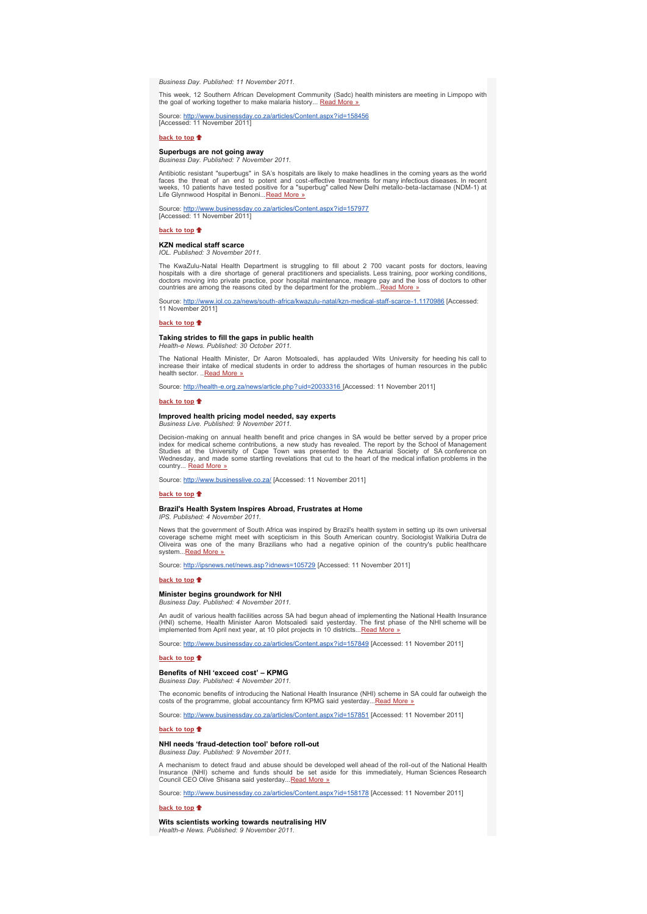*Business Day. Published: 11 November 2011.*

*This week, 12 Southern African Development Community (Sadc) health ministers are meeting in Limpopo with the goal of working together to make malaria history... [Read More »](http://bulletin.hst.org.za//lt.php?id=K09XAVZSVAUGSlBRCkUHC1NR)*

*Source: [http://www.businessday.co.za/articles/Content.aspx?id=158456](http://bulletin.hst.org.za//lt.php?id=K09XAVZSVAUFSlBRCkUHC1NR) [Accessed: 11 November 2011]*

**[back to top](x-msg://19/#top)**

**Superbugs are not going away** *Business Day. Published: 7 November 2011.*

Antibiotic resistant "superbugs" in SA's hospitals are likely to make headlines in the coming years as the world<br>faces the threat of an end to potent and cost-effective treatments for many infectious diseases. In recent<br>we

*Source: [http://www.businessday.co.za/articles/Content.aspx?id=157977](http://bulletin.hst.org.za//lt.php?id=K09XAVZSVQ8PSlBRCkUHC1NR) [Accessed: 11 November 2011]*

**[back to top](x-msg://19/#top)**<sup> $\uparrow$ </sup>

### **KZN medical staff scarce**

*IOL. Published: 3 November 2011.*

*The KwaZulu-Natal Health Department is struggling to fill about 2 700 vacant posts for doctors, leaving* hospitals with a dire shortage of general practitioners and specialists. Less training, poor working conditions,<br>doctors moving into private practice, poor hospital maintenance, meagre pay and the loss of doctors to other *countries are among the reasons cited by the department for the problem..[.Read More »](http://bulletin.hst.org.za//lt.php?id=K09XAVZSVQ8OSlBRCkUHC1NR)*

*Source: [http://www.iol.co.za/news/south-africa/kwazulu-natal/kzn-medical-staff-scarce-1.1170986](http://bulletin.hst.org.za//lt.php?id=K09XAVZSVAYHSlBRCkUHC1NR) [Accessed: 11 November 2011]*

### **[back to top](x-msg://19/#top)**

### **Taking strides to fill the gaps in public health**

*Health-e News. Published: 30 October 2011.*

The National Health Minister, Dr Aaron Motsoaledi, has applauded Wits University for heeding his call to<br>increase their intake of medical students in order to address the shortages of human resources in the public *health sector. ..[Read More »](http://bulletin.hst.org.za//lt.php?id=K09XAVZSVAYGSlBRCkUHC1NR)*

*Source: [http://health-e.org.za/news/article.php?uid=20033316 \[](http://bulletin.hst.org.za//lt.php?id=K09XAVZSVAYFSlBRCkUHC1NR)Accessed: 11 November 2011]*

### **[back to top](x-msg://19/#top)**  $\triangle$

# **Improved health pricing model needed, say experts** *Business Live. Published: 9 November 2011.*

Decision-making on annual health benefit and price changes in SA would be better served by a proper price<br>index for medical scheme contributions, a new study has revealed. The report by the School of Management<br>Studies at

*Source: [http://www.businesslive.co.za/](http://bulletin.hst.org.za//lt.php?id=K09XAVZSVAYDSlBRCkUHC1NR) [Accessed: 11 November 2011]*

#### **[back to top](x-msg://19/#top)**

### **Brazil's Health System Inspires Abroad, Frustrates at Home**

*IPS. Published: 4 November 2011.*

News that the government of South Africa was inspired by Brazil's health system in setting up its own universal<br>coverage scheme might meet with scepticism in this South American country. Sociologist Walkiria Dut *Oliveira was one of the many Brazilians who had a negative opinion of the country's public healthcare system...[Read More »](http://bulletin.hst.org.za//lt.php?id=K09XAVZSVAYCSlBRCkUHC1NR)*

*Source: [http://ipsnews.net/news.asp?idnews=105729](http://bulletin.hst.org.za//lt.php?id=K09XAVZSVAYBSlBRCkUHC1NR) [Accessed: 11 November 2011]*

### **[back to top](x-msg://19/#top)**

### **Minister begins groundwork for NHI** *Business Day. Published: 4 November 2011.*

*An audit of various health facilities across SA had begun ahead of implementing the National Health Insurance (HNI) scheme, Health Minister Aaron Motsoaledi said yesterday. The first phase of the NHI scheme will be implemented from April next year, at 10 pilot projects in 10 districts...[Read More »](http://bulletin.hst.org.za//lt.php?id=K09XAVZSVAYASlBRCkUHC1NR)*

*Source: [http://www.businessday.co.za/articles/Content.aspx?id=157849](http://bulletin.hst.org.za//lt.php?id=K09XAVZSVAYPSlBRCkUHC1NR) [Accessed: 11 November 2011]*

### **[back to top](x-msg://19/#top)**

#### **Benefits of NHI 'exceed cost' – KPMG** *Business Day. Published: 4 November 2011.*

*The economic benefits of introducing the National Health Insurance (NHI) scheme in SA could far outweigh the costs of the programme, global accountancy firm KPMG said yesterday..[.Read More »](http://bulletin.hst.org.za//lt.php?id=K09XAVZSVAYOSlBRCkUHC1NR)*

*Source: [http://www.businessday.co.za/articles/Content.aspx?id=157851](http://bulletin.hst.org.za//lt.php?id=K09XAVZSVAcHSlBRCkUHC1NR) [Accessed: 11 November 2011]*

### **[back to top](x-msg://19/#top)**<sup>t</sup>

### **NHI needs 'fraud-detection tool' before roll-out** *Business Day. Published: 9 November 2011.*

*A mechanism to detect fraud and abuse should be developed well ahead of the roll-out of the National Health Insurance (NHI) scheme and funds should be set aside for this immediately, Human Sciences Research Council CEO Olive Shisana said yesterday...[Read More »](http://bulletin.hst.org.za//lt.php?id=K09XAVZSVAcESlBRCkUHC1NR)*

*Source: [http://www.businessday.co.za/articles/Content.aspx?id=158178](http://bulletin.hst.org.za//lt.php?id=K09XAVZSVAcDSlBRCkUHC1NR) [Accessed: 11 November 2011]*

#### **[back to top](x-msg://19/#top)**

**Wits scientists working towards neutralising HIV** *Health-e News. Published: 9 November 2011.*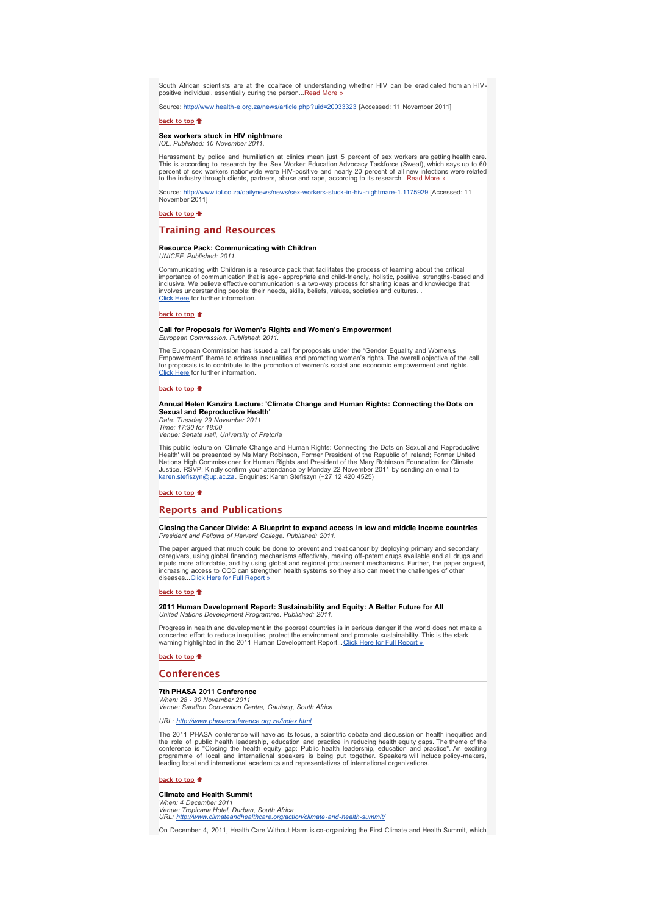*South African scientists are at the coalface of understanding whether HIV can be eradicated from an HIVpositive individual, essentially curing the person..[.Read More »](http://bulletin.hst.org.za//lt.php?id=K09XAVZSVAUESlBRCkUHC1NR)*

*Source: [http://www.health-e.org.za/news/article.php?uid=20033323](http://bulletin.hst.org.za//lt.php?id=K09XAVZSVAIBSlBRCkUHC1NR) [Accessed: 11 November 2011]*

### **[back to top](x-msg://19/#top)**

#### **Sex workers stuck in HIV nightmare** *IOL. Published: 10 November 2011.*

Harassment by police and humiliation at clinics mean just 5 percent of sex workers are getting health care.<br>This is according to research by the Sex Worker Education Advocacy Taskforce (Sweat), which says up to 60<br>percent *to the industry through clients, partners, abuse and rape, according to its research...[Read More »](http://bulletin.hst.org.za//lt.php?id=K09XAVZSVAUDSlBRCkUHC1NR)*

*Source: [http://www.iol.co.za/dailynews/news/sex-workers-stuck-in-hiv-nightmare-1.1175929](http://bulletin.hst.org.za//lt.php?id=K09XAVZSVAUCSlBRCkUHC1NR) [Accessed: 11 November 2011]*

#### **[back to top](x-msg://19/#top)**

### **Training and Resources**

#### **Resource Pack: Communicating with Children** *UNICEF. Published: 2011.*

*Communicating with Children is a resource pack that facilitates the process of learning about the critical* importance of communication that is age- appropriate and child-friendly, holistic, positive, strengths-based and<br>inclusive. We believe effective communication is a two-way process for sharing ideas and knowledge that *involves understanding people: their needs, skills, beliefs, values, societies and cultures. . [Click Here](http://bulletin.hst.org.za//lt.php?id=K09XAVZSVAcASlBRCkUHC1NR) for further information.*

#### **[back to top](x-msg://19/#top)**

#### **Call for Proposals for Women's Rights and Women's Empowerment** *European Commission. Published: 2011.*

*The European Commission has issued a call for proposals under the "Gender Equality and Women's Empowerment" theme to address inequalities and promoting women's rights. The overall objective of the call for proposals is to contribute to the promotion of women's social and economic empowerment and rights. [Click Here](http://bulletin.hst.org.za//lt.php?id=K09XAVZSVAcPSlBRCkUHC1NR) for further information.*

#### **[back to top](x-msg://19/#top)**

### **Annual Helen Kanzira Lecture: 'Climate Change and Human Rights: Connecting the Dots on Sexual and Reproductive Health'**

*Date: Tuesday 29 November 2011 Time: 17:30 for 18:00 Venue: Senate Hall, University of Pretoria*

*This public lecture on 'Climate Change and Human Rights: Connecting the Dots on Sexual and Reproductive* Health' will be presented by Ms Mary Robinson, Former President of the Republic of Ireland; Former United<br>Nations High Commissioner for Human Rights and President of the Mary Robinson Foundation for Climate<br>Justice. RSVP:

### **[back to top](x-msg://19/#top)**

### **Reports and Publications**

#### **Closing the Cancer Divide: A Blueprint to expand access in low and middle income countries** *President and Fellows of Harvard College. Published: 2011.*

*The paper argued that much could be done to prevent and treat cancer by deploying primary and secondary* caregivers, using global financing mechanisms effectively, making off-patent drugs available and all drugs and<br>inputs more affordable, and by using global and regional procurement mechanisms. Further, the paper argued, *increasing access to CCC can strengthen health systems so they also can meet the challenges of other diseases...[Click Here for Full Report »](http://bulletin.hst.org.za//lt.php?id=K09XAVZSVAcOSlBRCkUHC1NR)*

#### **[back to top](x-msg://19/#top)**

### **2011 Human Development Report: Sustainability and Equity: A Better Future for All** *United Nations Development Programme. Published: 2011.*

*Progress in health and development in the poorest countries is in serious danger if the world does not make a concerted effort to reduce inequities, protect the environment and promote sustainability. This is the stark warning highlighted in the 2011 Human Development Report...[Click Here for Full Report »](http://bulletin.hst.org.za//lt.php?id=K09XAVZSVAQHSlBRCkUHC1NR)*

### **[back to top](x-msg://19/#top)**

### **Conferences**

### **7th PHASA 2011 Conference**

*When: 28 - 30 November 2011 Venue: Sandton Convention Centre, Gauteng, South Africa*

### *URL: [http://www.phasaconference.org.za/index.html](http://bulletin.hst.org.za//lt.php?id=K09XAVZSVAQESlBRCkUHC1NR)*

*The 2011 PHASA conference will have as its focus, a scientific debate and discussion on health inequities and* the role of public health leadership, education and practice in reducing health equity gaps. The theme of the<br>conference is "Closing the health equity gap: Public health leadership, education and practice". An exciting<br>pro *leading local and international academics and representatives of international organizations.*

#### **[back to top](x-msg://19/#top)**

### **Climate and Health Summit**

*When: 4 December 2011 Venue: Tropicana Hotel, Durban, South Africa URL: [http://www.climateandhealthcare.org/action/climate-and-health-summit/](http://bulletin.hst.org.za//lt.php?id=K09XAVZSVAQDSlBRCkUHC1NR)*

*On December 4, 2011, Health Care Without Harm is co-organizing the First Climate and Health Summit, which*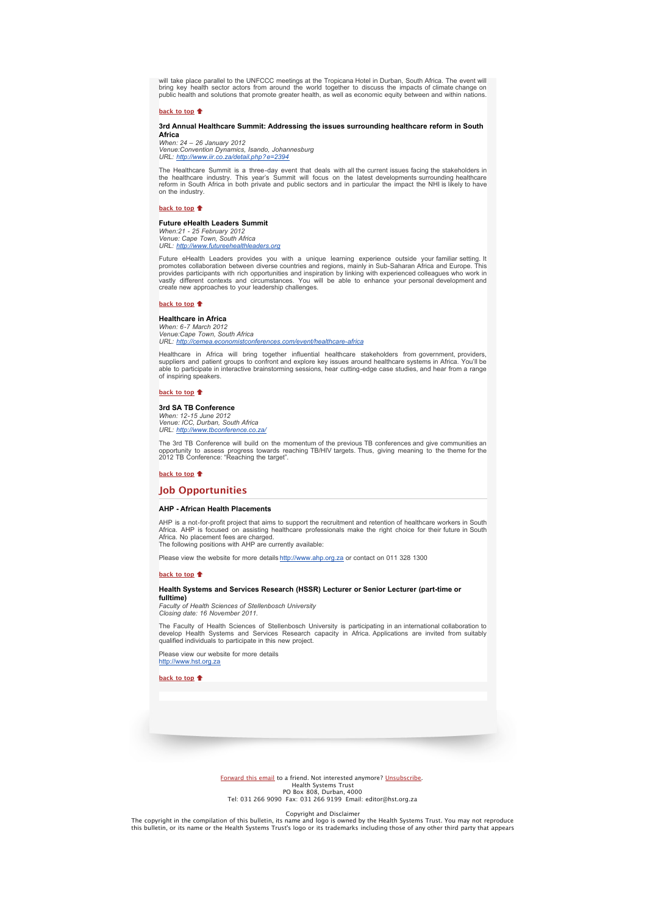will take place parallel to the UNFCCC meetings at the Tropicana Hotel in Durban, South Africa. The event will bring key health sector actors from around the world together to discuss the impacts of climate change on<br>public health and solutions that promote greater health, as well as economic equity between and within nations.

#### **[back to top](x-msg://19/#top)**

#### **3rd Annual Healthcare Summit: Addressing the issues surrounding healthcare reform in South Africa**

*When: 24 – 26 January 2012 Venue:Convention Dynamics, Isando, Johannesburg URL: [http://www.iir.co.za/detail.php?e=2394](http://bulletin.hst.org.za//lt.php?id=K09XAVZSVAQCSlBRCkUHC1NR)*

The Healthcare Summit is a three-day event that deals with all the current issues facing the stakeholders in<br>the healthcare industry. This year's Summit will focus on the latest developments surrounding healthcare<br>reform i *on the industry.*

#### **[back to top](x-msg://19/#top)**

**Future eHealth Leaders Summit** *When:21 - 25 February 2012 Venue: Cape Town, South Africa URL: [http://www.futureehealthleaders.org](http://bulletin.hst.org.za//lt.php?id=K09XAVZSVAQBSlBRCkUHC1NR)*

Future eHealth Leaders provides you with a unique learning experience outside your familiar setting. It promotes collaboration between diverse countries and regions, mainly in Sub-Saharan Africa and Europe. This provides p

**[back to top](x-msg://19/#top)**

**Healthcare in Africa** *When: 6-7 March 2012 Venue:Cape Town, South Africa URL: [http://cemea.economistconferences.com/event/healthcare-africa](http://bulletin.hst.org.za//lt.php?id=K09XAVZSVAUBSlBRCkUHC1NR)*

*Healthcare in Africa will bring together influential healthcare stakeholders from government, providers,* suppliers and patient groups to confront and explore key issues around healthcare systems in Africa. You'll be<br>able to participate in interactive brainstorming sessions, hear cutting-edge case studies, and hear from a rang *of inspiring speakers.*

### **[back to top](x-msg://19/#top)**

#### **3rd SA TB Conference** *When: 12-15 June 2012*

*Venue: ICC, Durban, South Africa URL: [http://www.tbconference.co.za/](http://bulletin.hst.org.za//lt.php?id=K09XAVZSVAUASlBRCkUHC1NR)*

The 3rd TB Conference will build on the momentum of the previous TB conferences and give communities an<br>opportunity to assess progress towards reaching TB/HIV targets. Thus, giving meaning to the theme for the<br>2012 TB Conf

## **[back to top](x-msg://19/#top)**  $\triangleq$

### **Job Opportunities**

### **AHP - African Health Placements**

AHP is a not-for-profit project that aims to support the recruitment and retention of healthcare workers in South<br>Africa. AHP is focused on assisting healthcare professionals make the right choice for their future in South *The following positions with AHP are currently available:*

*Please view the website for more details [http://www.ahp.org.za](http://bulletin.hst.org.za//lt.php?id=K09XAVZSVAIHSlBRCkUHC1NR) or contact on 011 328 1300*

#### **[back to top](x-msg://19/#top)**

### **Health Systems and Services Research (HSSR) Lecturer or Senior Lecturer (part-time or**

**fulltime)** *Faculty of Health Sciences of Stellenbosch University Closing date: 16 November 2011.*

The Faculty of Health Sciences of Stellenbosch University is participating in an international collaboration to<br>develop Health Systems and Services Research capacity in Africa. Applications are invited from suitably *qualified individuals to participate in this new project.*

*Please view our website for more details* 

**[back to top](x-msg://19/#top)**

*[http://www.hst.org.za](http://bulletin.hst.org.za//lt.php?id=K09XAVZSVAIGSlBRCkUHC1NR)*

[Forward this email](http://bulletin.hst.org.za//lt.php?id=K09XAVZSVAQASlBRCkUHC1NR) to a friend. Not interested anymore? [Unsubscribe.](http://bulletin.hst.org.za//lt.php?id=K09XAVZSVAQPSlBRCkUHC1NR) Health Systems Trust PO Box 808, Durban, 4000 Tel: 031 266 9090 Fax: 031 266 9199 Email: editor@hst.org.za

Copyright and Disclaimer

The copyright in the compilation of this bulletin, its name and logo is owned by the Health Systems Trust. You may not reproduce this bulletin, or its name or the Health Systems Trust's logo or its trademarks including those of any other third party that appears